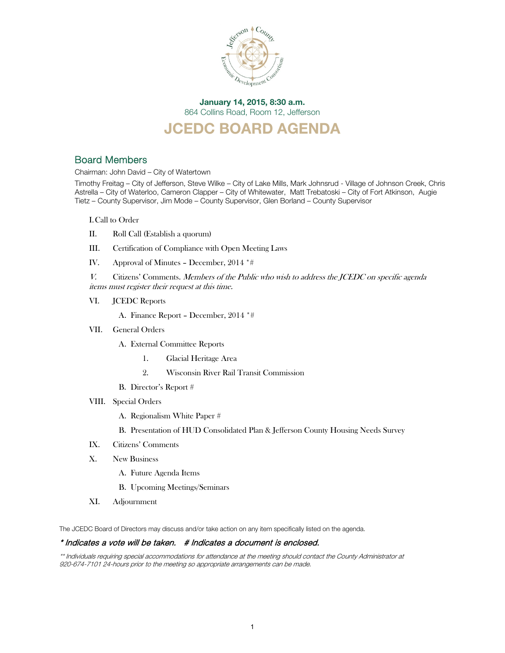

## January 14, 2015, 8:30 a.m. 864 Collins Road, Room 12, Jefferson

## JCEDC BOARD AGENDA

## Board Members

Chairman: John David – City of Watertown

Timothy Freitag – City of Jefferson, Steve Wilke – City of Lake Mills, Mark Johnsrud - Village of Johnson Creek, Chris Astrella – City of Waterloo, Cameron Clapper – City of Whitewater, Matt Trebatoski – City of Fort Atkinson, Augie Tietz – County Supervisor, Jim Mode – County Supervisor, Glen Borland – County Supervisor

I.Call to Order

- II. Roll Call (Establish a quorum)
- III. Certification of Compliance with Open Meeting Laws
- IV. Approval of Minutes December, 2014 \*#
- V. Citizens' Comments. Members of the Public who wish to address the JCEDC on specific agenda items must register their request at this time.
- VI. JCEDC Reports

A. Finance Report – December, 2014 \*#

VII. General Orders

A. External Committee Reports

- 1. Glacial Heritage Area
- 2. Wisconsin River Rail Transit Commission
- B. Director's Report #
- VIII. Special Orders
	- A. Regionalism White Paper #
	- B. Presentation of HUD Consolidated Plan & Jefferson County Housing Needs Survey
- IX. Citizens' Comments
- X. New Business
	- A. Future Agenda Items
	- B. Upcoming Meetings/Seminars
- XI. Adjournment

The JCEDC Board of Directors may discuss and/or take action on any item specifically listed on the agenda.

### \* Indicates a vote will be taken. # Indicates a document is enclosed.

\*\* Individuals requiring special accommodations for attendance at the meeting should contact the County Administrator at 920-674-7101 24-hours prior to the meeting so appropriate arrangements can be made.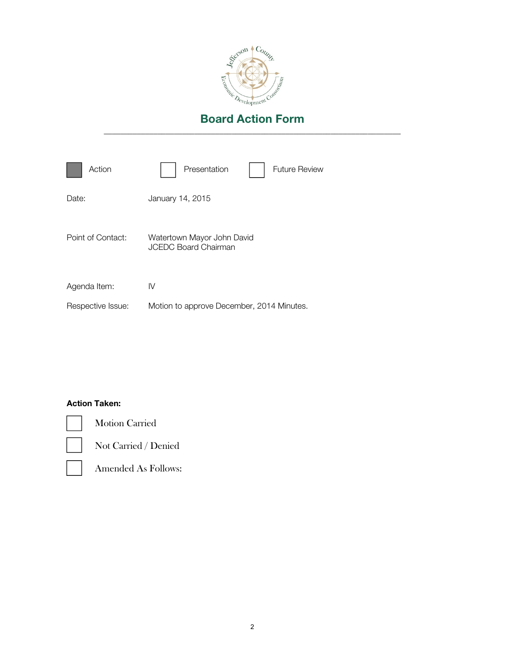

| Action            | Presentation<br><b>Future Review</b>                      |
|-------------------|-----------------------------------------------------------|
| Date:             | January 14, 2015                                          |
| Point of Contact: | Watertown Mayor John David<br><b>JCEDC Board Chairman</b> |
| Agenda Item:      | IV                                                        |
| Respective Issue: | Motion to approve December, 2014 Minutes.                 |

## Action Taken:



Motion Carried

Not Carried / Denied

Amended As Follows: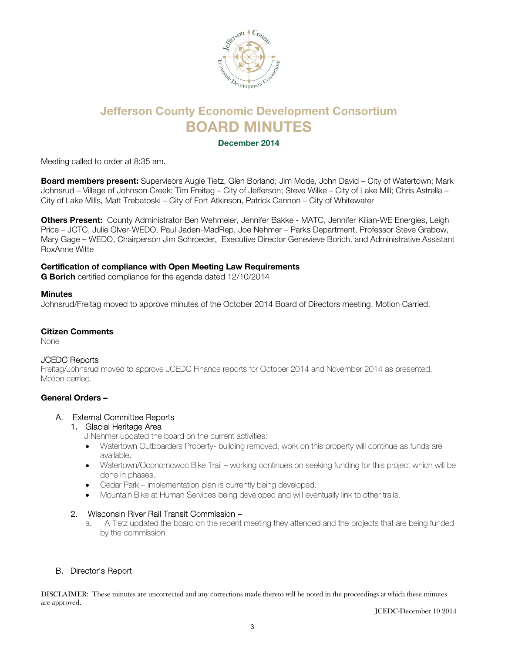

## Jefferson County Economic Development Consortium BOARD MINUTES

### December 2014

Meeting called to order at 8:35 am.

Board members present: Supervisors Augie Tietz, Glen Borland; Jim Mode, John David – City of Watertown; Mark Johnsrud – Village of Johnson Creek; Tim Freitag – City of Jefferson; Steve Wilke – City of Lake Mill; Chris Astrella – City of Lake Mills, Matt Trebatoski – City of Fort Atkinson, Patrick Cannon – City of Whitewater

Others Present: County Administrator Ben Wehmeier, Jennifer Bakke - MATC, Jennifer Kilian-WE Energies, Leigh Price – JCTC, Julie Olver-WEDO, Paul Jaden-MadRep, Joe Nehmer – Parks Department, Professor Steve Grabow, Mary Gage – WEDO, Chairperson Jim Schroeder, Executive Director Genevieve Borich, and Administrative Assistant RoxAnne Witte

### Certification of compliance with Open Meeting Law Requirements

**G Borich** certified compliance for the agenda dated 12/10/2014

### **Minutes**

Johnsrud/Freitag moved to approve minutes of the October 2014 Board of Directors meeting. Motion Carried.

### Citizen Comments

None

### JCEDC Reports

Freitag/Johnsrud moved to approve JCEDC Finance reports for October 2014 and November 2014 as presented. Motion carried.

### General Orders –

### A. External Committee Reports

### 1. Glacial Heritage Area

J Nehmer updated the board on the current activities:

- Watertown Outboarders Property- building removed, work on this property will continue as funds are available.
- Watertown/Oconomowoc Bike Trail working continues on seeking funding for this project which will be done in phases.
- Cedar Park implementation plan is currently being developed.
- Mountain Bike at Human Services being developed and will eventually link to other trails.

### 2. Wisconsin River Rail Transit Commission –

a. A Tietz updated the board on the recent meeting they attended and the projects that are being funded by the commission.

### B. Director's Report

DISCLAIMER: These minutes are uncorrected and any corrections made thereto will be noted in the proceedings at which these minutes are approved.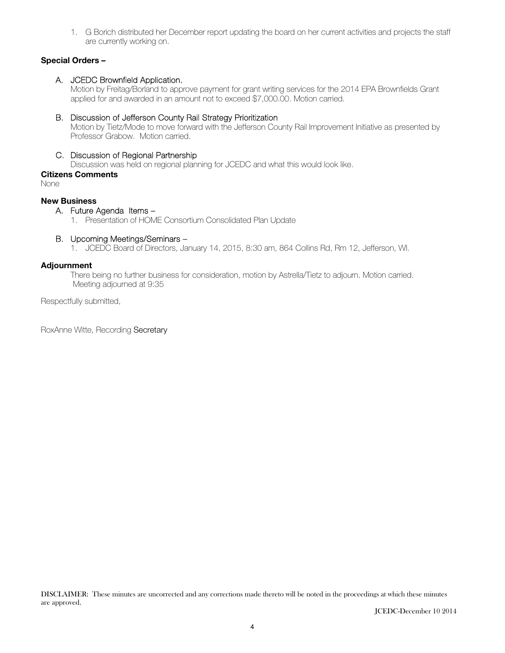1. G Borich distributed her December report updating the board on her current activities and projects the staff are currently working on.

## Special Orders –

## A. JCEDC Brownfield Application.

Motion by Freitag/Borland to approve payment for grant writing services for the 2014 EPA Brownfields Grant applied for and awarded in an amount not to exceed \$7,000.00. Motion carried.

## B. Discussion of Jefferson County Rail Strategy Prioritization

Motion by Tietz/Mode to move forward with the Jefferson County Rail Improvement Initiative as presented by Professor Grabow. Motion carried.

## C. Discussion of Regional Partnership

Discussion was held on regional planning for JCEDC and what this would look like.

Citizens Comments

None

## New Business

A. Future Agenda Items –

1. Presentation of HOME Consortium Consolidated Plan Update

## B. Upcoming Meetings/Seminars –

1. JCEDC Board of Directors, January 14, 2015, 8:30 am, 864 Collins Rd, Rm 12, Jefferson, WI.

### Adjournment

There being no further business for consideration, motion by Astrella/Tietz to adjourn. Motion carried. Meeting adjourned at 9:35

Respectfully submitted,

RoxAnne Witte, Recording Secretary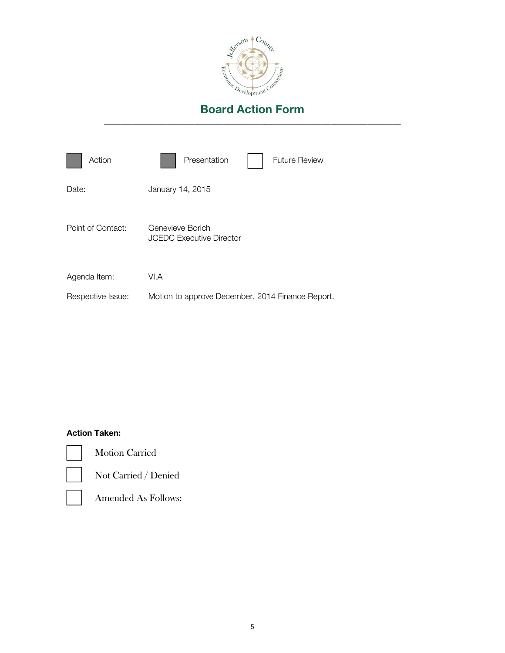

| Action            | Presentation<br><b>Future Review</b>                |
|-------------------|-----------------------------------------------------|
| Date:             | January 14, 2015                                    |
| Point of Contact: | Genevieve Borich<br><b>JCEDC Executive Director</b> |
| Agenda Item:      | VI.A                                                |
| Respective Issue: | Motion to approve December, 2014 Finance Report.    |

## Action Taken:



Motion Carried



Not Carried / Denied



Amended As Follows: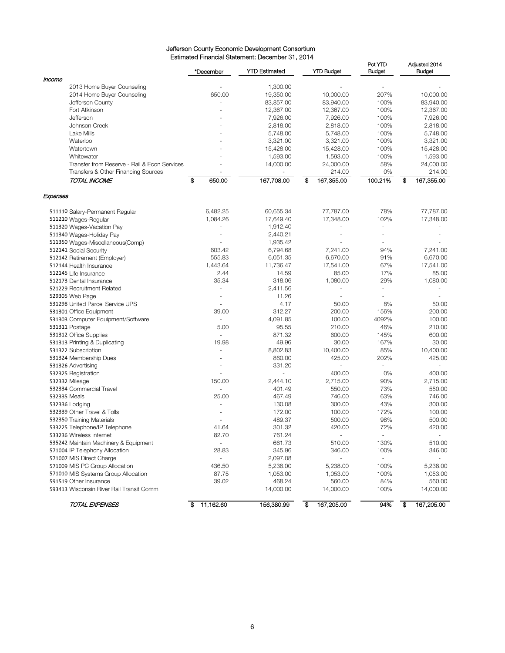#### Jefferson County Economic Development Consortium Estimated Financial Statement: December 31, 2014

|                                                            | *December       | <b>YTD Estimated</b> | <b>YTD Budget</b>        | Pct YTD<br><b>Budget</b> | Adjusted 2014<br><b>Budget</b> |
|------------------------------------------------------------|-----------------|----------------------|--------------------------|--------------------------|--------------------------------|
| Income<br>2013 Home Buyer Counseling                       |                 | 1,300.00             |                          |                          |                                |
| 2014 Home Buyer Counseling                                 | 650.00          | 19,350.00            | 10,000.00                | 207%                     | 10,000.00                      |
| Jefferson County                                           |                 | 83,857.00            | 83,940.00                | 100%                     | 83,940.00                      |
| Fort Atkinson                                              |                 | 12,367.00            | 12,367.00                | 100%                     | 12,367.00                      |
|                                                            |                 |                      | 7,926.00                 | 100%                     |                                |
| Jefferson                                                  |                 | 7,926.00             |                          |                          | 7,926.00                       |
| Johnson Creek                                              |                 | 2,818.00             | 2,818.00                 | 100%                     | 2,818.00                       |
| Lake Mills                                                 |                 | 5,748.00             | 5,748.00                 | 100%                     | 5,748.00                       |
| Waterloo                                                   |                 | 3,321.00             | 3,321.00                 | 100%                     | 3,321.00                       |
| Watertown                                                  |                 | 15,428.00            | 15,428.00                | 100%                     | 15,428.00                      |
| Whitewater                                                 |                 | 1,593.00             | 1,593.00                 | 100%                     | 1,593.00                       |
| Transfer from Reserve - Rail & Econ Services               |                 | 14,000.00            | 24,000.00                | 58%                      | 24,000.00                      |
| Transfers & Other Financing Sources                        |                 |                      | 214.00                   | 0%                       | 214.00                         |
| TOTAL INCOME                                               | \$<br>650.00    | 167,708.00           | \$<br>167,355.00         | 100.21%                  | \$<br>167,355.00               |
| Expenses                                                   |                 |                      |                          |                          |                                |
| 511110 Salary-Permanent Regular                            | 6,482.25        | 60,655.34            | 77,787.00                | 78%                      | 77,787.00                      |
| 511210 Wages-Regular                                       | 1,084.26        | 17,649.40            | 17,348.00                | 102%                     | 17,348.00                      |
| 511320 Wages-Vacation Pay                                  |                 | 1,912.40             |                          | ä,                       |                                |
| 511340 Wages-Holiday Pay                                   |                 | 2,440.21             |                          |                          |                                |
| 511350 Wages-Miscellaneous(Comp)                           |                 | 1,935.42             |                          |                          |                                |
| 512141 Social Security                                     | 603.42          | 6,794.68             | 7,241.00                 | 94%                      | 7,241.00                       |
| 512142 Retirement (Employer)                               | 555.83          | 6,051.35             | 6,670.00                 | 91%                      | 6,670.00                       |
| 512144 Health Insurance                                    | 1,443.64        | 11,736.47            | 17,541.00                | 67%                      | 17,541.00                      |
| 512145 Life Insurance                                      | 2.44            | 14.59                | 85.00                    | 17%                      | 85.00                          |
| 512173 Dental Insurance                                    | 35.34           | 318.06               | 1,080.00                 | 29%                      | 1,080.00                       |
| 521229 Recruitment Related                                 |                 | 2,411.56             | $\overline{\phantom{a}}$ |                          |                                |
| 529305 Web Page                                            |                 | 11.26                |                          |                          |                                |
| 531298 United Parcel Service UPS                           |                 | 4.17                 | 50.00                    | 8%                       | 50.00                          |
| 531301 Office Equipment                                    | 39.00           | 312.27               | 200.00                   | 156%                     | 200.00                         |
| 531303 Computer Equipment/Software                         |                 | 4,091.85             | 100.00                   | 4092%                    | 100.00                         |
| 531311 Postage                                             | 5.00            | 95.55                | 210.00                   | 46%                      | 210.00                         |
| 531312 Office Supplies                                     |                 | 871.32               | 600.00                   | 145%                     | 600.00                         |
| 531313 Printing & Duplicating                              | 19.98           | 49.96                | 30.00                    | 167%                     | 30.00                          |
| 531322 Subscription                                        |                 | 8,802.83             | 10,400.00                | 85%                      | 10,400.00                      |
| 531324 Membership Dues                                     |                 | 860.00               | 425.00                   | 202%                     | 425.00                         |
| 531326 Advertising                                         |                 | 331.20               |                          |                          |                                |
| 532325 Registration                                        |                 | ä,                   | 400.00                   | 0%                       | 400.00                         |
| 532332 Mileage                                             | 150.00          | 2,444.10             | 2,715.00                 | 90%                      | 2,715.00                       |
| 532334 Commercial Travel                                   |                 | 401.49               | 550.00                   | 73%                      | 550.00                         |
| 532335 Meals                                               | 25.00           | 467.49               | 746.00                   | 63%                      | 746.00                         |
| 532336 Lodging                                             |                 | 130.08               | 300.00                   | 43%                      | 300.00                         |
| 532339 Other Travel & Tolls                                |                 | 172.00               | 100.00                   | 172%                     | 100.00                         |
|                                                            |                 |                      |                          | 98%                      | 500.00                         |
| 532350 Training Materials<br>533225 Telephone/IP Telephone |                 | 489.37               | 500.00                   | 72%                      |                                |
|                                                            | 41.64           | 301.32               | 420.00                   |                          | 420.00                         |
| 533236 Wireless Internet                                   | 82.70           | 761.24               | $\overline{\phantom{a}}$ | $\overline{\phantom{a}}$ |                                |
| 535242 Maintain Machinery & Equipment                      | ÷,              | 661.73               | 510.00                   | 130%                     | 510.00                         |
| 571004 IP Telephony Allocation                             | 28.83           | 345.96               | 346.00                   | 100%                     | 346.00                         |
| 571007 MIS Direct Charge                                   |                 | 2,097.08             | $\overline{\phantom{a}}$ | $\overline{\phantom{a}}$ |                                |
| 571009 MIS PC Group Allocation                             | 436.50          | 5,238.00             | 5,238.00                 | 100%                     | 5,238.00                       |
| 571010 MIS Systems Group Allocation                        | 87.75           | 1,053.00             | 1,053.00                 | 100%                     | 1,053.00                       |
| 591519 Other Insurance                                     | 39.02           | 468.24               | 560.00                   | 84%                      | 560.00                         |
| 593413 Wisconsin River Rail Transit Comm                   |                 | 14,000.00            | 14,000.00                | 100%                     | 14,000.00                      |
| TOTAL EXPENSES                                             | 11,162.60<br>\$ | 156,380.99           | ङ<br>167,205.00          | 94%                      | 167,205.00<br>\$               |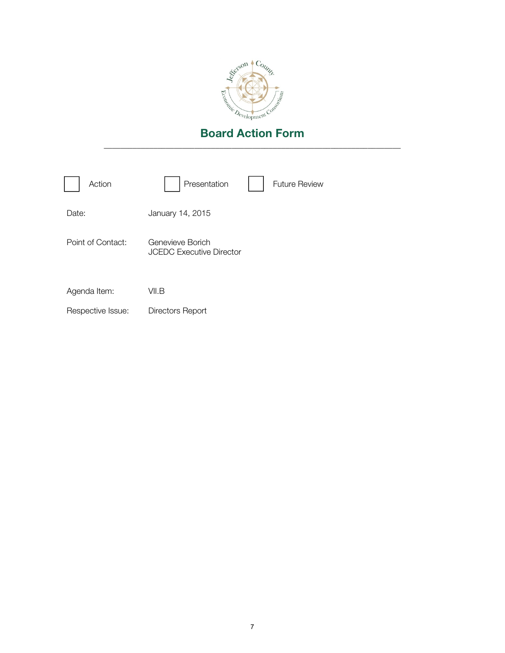

| Action            | Presentation                                        | <b>Future Review</b> |
|-------------------|-----------------------------------------------------|----------------------|
| Date:             | January 14, 2015                                    |                      |
| Point of Contact: | Genevieve Borich<br><b>JCEDC Executive Director</b> |                      |
| Agenda Item:      | VII.B                                               |                      |
| Respective Issue: | Directors Report                                    |                      |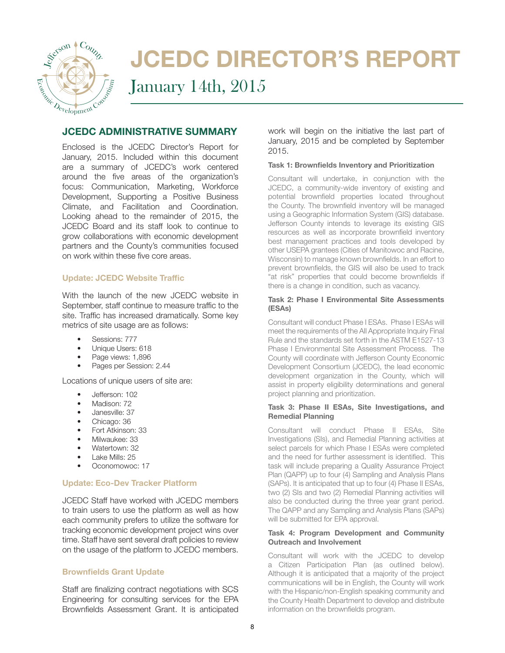

# JCEDC DIRECTOR'S REPORT

January 14th, 2015

## JCEDC ADMINISTRATIVE SUMMARY

Enclosed is the JCEDC Director's Report for January, 2015. Included within this document are a summary of JCEDC's work centered around the five areas of the organization's focus: Communication, Marketing, Workforce Development, Supporting a Positive Business Climate, and Facilitation and Coordination. Looking ahead to the remainder of 2015, the JCEDC Board and its staff look to continue to grow collaborations with economic development partners and the County's communities focused on work within these five core areas.

## **Update: JCEDC Website Traffic**

With the launch of the new JCEDC website in September, staff continue to measure traffic to the site. Traffic has increased dramatically. Some key metrics of site usage are as follows:

- Sessions: 777
- Unique Users: 618
- Page views: 1,896
- Pages per Session: 2.44

Locations of unique users of site are:

- Jefferson: 102
- Madison: 72
- Janesville: 37
- Chicago: 36
- Fort Atkinson: 33
- Milwaukee: 33
- Watertown: 32
- Lake Mills: 25
- Oconomowoc: 17

### Update: Eco-Dev Tracker Platform

JCEDC Staff have worked with JCEDC members to train users to use the platform as well as how each community prefers to utilize the software for tracking economic development project wins over time. Staff have sent several draft policies to review on the usage of the platform to JCEDC members.

### **Brownfields Grant Update**

Staff are finalizing contract negotiations with SCS Engineering for consulting services for the EPA Brownfields Assessment Grant. It is anticipated

work will begin on the initiative the last part of January, 2015 and be completed by September 2015.

### Task 1: Brownfields Inventory and Prioritization

Consultant will undertake, in conjunction with the JCEDC, a community-wide inventory of existing and potential brownfield properties located throughout the County. The brownfield inventory will be managed using a Geographic Information System (GIS) database. Jefferson County intends to leverage its existing GIS resources as well as incorporate brownfield inventory best management practices and tools developed by other USEPA grantees (Cities of Manitowoc and Racine, Wisconsin) to manage known brownfields. In an effort to prevent brownfields, the GIS will also be used to track "at risk" properties that could become brownfields if there is a change in condition, such as vacancy.

### Task 2: Phase I Environmental Site Assessments (ESAs)

Consultant will conduct Phase I ESAs. Phase I ESAs will meet the requirements of the All Appropriate Inquiry Final Rule and the standards set forth in the ASTM E1527-13 Phase I Environmental Site Assessment Process. The County will coordinate with Jefferson County Economic Development Consortium (JCEDC), the lead economic development organization in the County, which will assist in property eligibility determinations and general project planning and prioritization.

### Task 3: Phase II ESAs, Site Investigations, and Remedial Planning

Consultant will conduct Phase II ESAs, Site Investigations (SIs), and Remedial Planning activities at select parcels for which Phase I ESAs were completed and the need for further assessment is identified. This task will include preparing a Quality Assurance Project Plan (QAPP) up to four (4) Sampling and Analysis Plans (SAPs). It is anticipated that up to four (4) Phase II ESAs, two (2) SIs and two (2) Remedial Planning activities will also be conducted during the three year grant period. The QAPP and any Sampling and Analysis Plans (SAPs) will be submitted for EPA approval.

### Task 4: Program Development and Community Outreach and Involvement

Consultant will work with the JCEDC to develop a Citizen Participation Plan (as outlined below). Although it is anticipated that a majority of the project communications will be in English, the County will work with the Hispanic/non-English speaking community and the County Health Department to develop and distribute information on the brownfields program.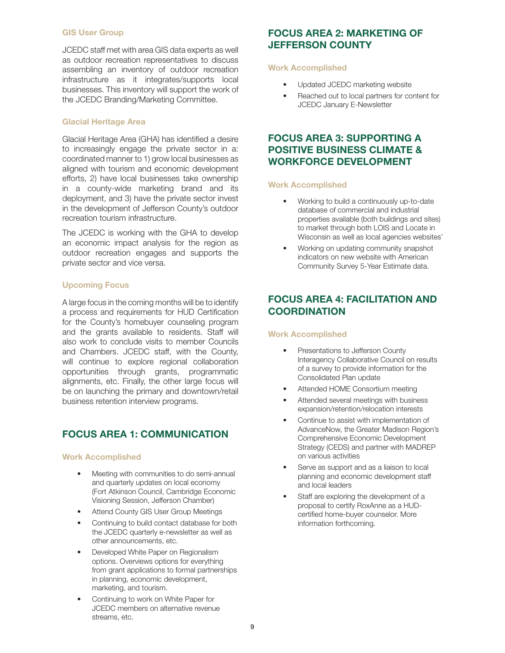### GIS User Group

JCEDC staff met with area GIS data experts as well as outdoor recreation representatives to discuss assembling an inventory of outdoor recreation infrastructure as it integrates/supports local businesses. This inventory will support the work of the JCEDC Branding/Marketing Committee.

### Glacial Heritage Area

Glacial Heritage Area (GHA) has identified a desire to increasingly engage the private sector in a: coordinated manner to 1) grow local businesses as aligned with tourism and economic development efforts, 2) have local businesses take ownership in a county-wide marketing brand and its deployment, and 3) have the private sector invest in the development of Jefferson County's outdoor recreation tourism infrastructure.

The JCEDC is working with the GHA to develop an economic impact analysis for the region as outdoor recreation engages and supports the private sector and vice versa.

### Upcoming Focus

A large focus in the coming months will be to identify a process and requirements for HUD Certification for the County's homebuyer counseling program and the grants available to residents. Staff will also work to conclude visits to member Councils and Chambers. JCEDC staff, with the County, will continue to explore regional collaboration opportunities through grants, programmatic alignments, etc. Finally, the other large focus will be on launching the primary and downtown/retail business retention interview programs.

## FOCUS AREA 1: COMMUNICATION

### Work Accomplished

- Meeting with communities to do semi-annual and quarterly updates on local economy (Fort Atkinson Council, Cambridge Economic Visioning Session, Jefferson Chamber)
- Attend County GIS User Group Meetings
- Continuing to build contact database for both the JCEDC quarterly e-newsletter as well as other announcements, etc.
- Developed White Paper on Regionalism options. Overviews options for everything from grant applications to formal partnerships in planning, economic development, marketing, and tourism.
- Continuing to work on White Paper for JCEDC members on alternative revenue streams, etc.

## FOCUS AREA 2: MARKETING OF JEFFERSON COUNTY

### Work Accomplished

- Updated JCEDC marketing website
- Reached out to local partners for content for JCEDC January E-Newsletter

## FOCUS AREA 3: SUPPORTING A POSITIVE BUSINESS CLIMATE & WORKFORCE DEVELOPMENT

### Work Accomplished

- Working to build a continuously up-to-date database of commercial and industrial properties available (both buildings and sites) to market through both LOIS and Locate in Wisconsin as well as local agencies websites'
- Working on updating community snapshot indicators on new website with American Community Survey 5-Year Estimate data.

## FOCUS AREA 4: FACILITATION AND **COORDINATION**

### Work Accomplished

- Presentations to Jefferson County Interagency Collaborative Council on results of a survey to provide information for the Consolidated Plan update
- Attended HOME Consortium meeting
- Attended several meetings with business expansion/retention/relocation interests
- Continue to assist with implementation of AdvanceNow, the Greater Madison Region's Comprehensive Economic Development Strategy (CEDS) and partner with MADREP on various activities
- Serve as support and as a liaison to local planning and economic development staff and local leaders
- Staff are exploring the development of a proposal to certify RoxAnne as a HUDcertified home-buyer counselor. More information forthcoming.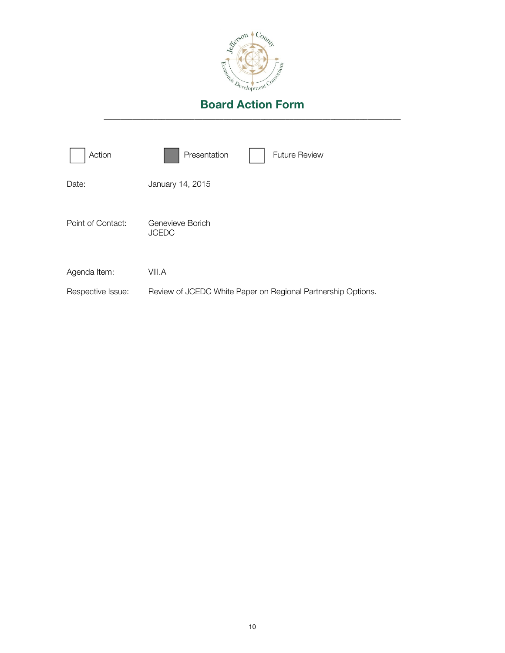

| Action            | Presentation<br><b>Future Review</b>                         |
|-------------------|--------------------------------------------------------------|
| Date:             | January 14, 2015                                             |
| Point of Contact: | Genevieve Borich<br><b>JCEDC</b>                             |
| Agenda Item:      | VIII.A                                                       |
| Respective Issue: | Review of JCEDC White Paper on Regional Partnership Options. |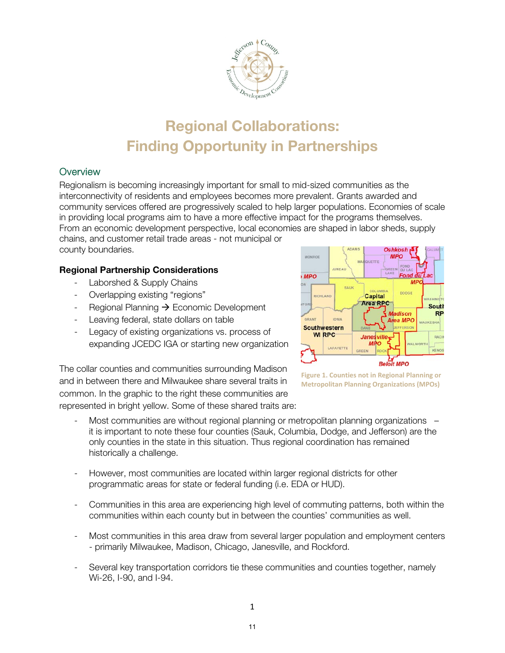

## Regional Collaborations: Finding Opportunity in Partnerships

## **Overview**

Regionalism is becoming increasingly important for small to mid-sized communities as the interconnectivity of residents and employees becomes more prevalent. Grants awarded and community services offered are progressively scaled to help larger populations. Economies of scale in providing local programs aim to have a more effective impact for the programs themselves. From an economic development perspective, local economies are shaped in labor sheds, supply

chains, and customer retail trade areas - not municipal or county boundaries.

## Regional Partnership Considerations

- Laborshed & Supply Chains
- Overlapping existing "regions"
- Regional Planning  $\rightarrow$  Economic Development
- Leaving federal, state dollars on table
- Legacy of existing organizations vs. process of expanding JCEDC IGA or starting new organization

The collar counties and communities surrounding Madison and in between there and Milwaukee share several traits in common. In the graphic to the right these communities are represented in bright yellow. Some of these shared traits are:





- Most communities are without regional planning or metropolitan planning organizations it is important to note these four counties (Sauk, Columbia, Dodge, and Jefferson) are the only counties in the state in this situation. Thus regional coordination has remained historically a challenge.
- However, most communities are located within larger regional districts for other programmatic areas for state or federal funding (i.e. EDA or HUD).
- Communities in this area are experiencing high level of commuting patterns, both within the communities within each county but in between the counties' communities as well.
- Most communities in this area draw from several larger population and employment centers - primarily Milwaukee, Madison, Chicago, Janesville, and Rockford.
- Several key transportation corridors tie these communities and counties together, namely Wi-26, I-90, and I-94.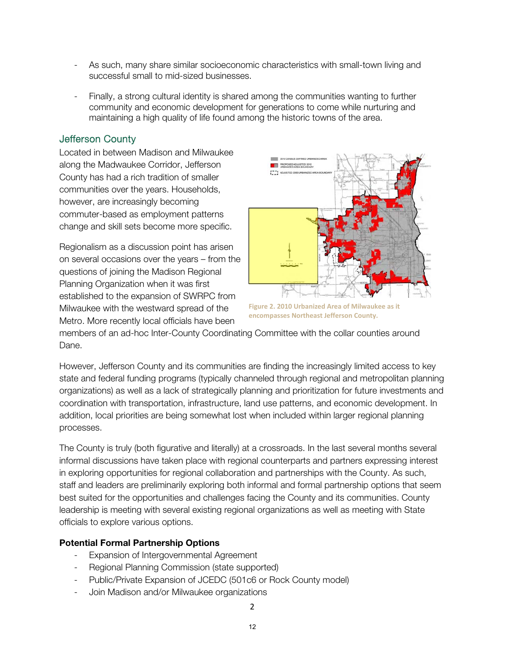- As such, many share similar socioeconomic characteristics with small-town living and successful small to mid-sized businesses.
- Finally, a strong cultural identity is shared among the communities wanting to further community and economic development for generations to come while nurturing and maintaining a high quality of life found among the historic towns of the area.

## Jefferson County

Located in between Madison and Milwaukee along the Madwaukee Corridor, Jefferson County has had a rich tradition of smaller communities over the years. Households, however, are increasingly becoming commuter-based as employment patterns change and skill sets become more specific.

Regionalism as a discussion point has arisen on several occasions over the years – from the questions of joining the Madison Regional Planning Organization when it was first established to the expansion of SWRPC from Milwaukee with the westward spread of the Metro. More recently local officials have been



**Figure 2. 2010 Urbanized Area of Milwaukee as it encompasses Northeast Jefferson County.**

members of an ad-hoc Inter-County Coordinating Committee with the collar counties around Dane.

However, Jefferson County and its communities are finding the increasingly limited access to key state and federal funding programs (typically channeled through regional and metropolitan planning organizations) as well as a lack of strategically planning and prioritization for future investments and coordination with transportation, infrastructure, land use patterns, and economic development. In addition, local priorities are being somewhat lost when included within larger regional planning processes.

The County is truly (both figurative and literally) at a crossroads. In the last several months several informal discussions have taken place with regional counterparts and partners expressing interest in exploring opportunities for regional collaboration and partnerships with the County. As such, staff and leaders are preliminarily exploring both informal and formal partnership options that seem best suited for the opportunities and challenges facing the County and its communities. County leadership is meeting with several existing regional organizations as well as meeting with State officials to explore various options.

## Potential Formal Partnership Options

- Expansion of Intergovernmental Agreement
- Regional Planning Commission (state supported)
- Public/Private Expansion of JCEDC (501c6 or Rock County model)
- Join Madison and/or Milwaukee organizations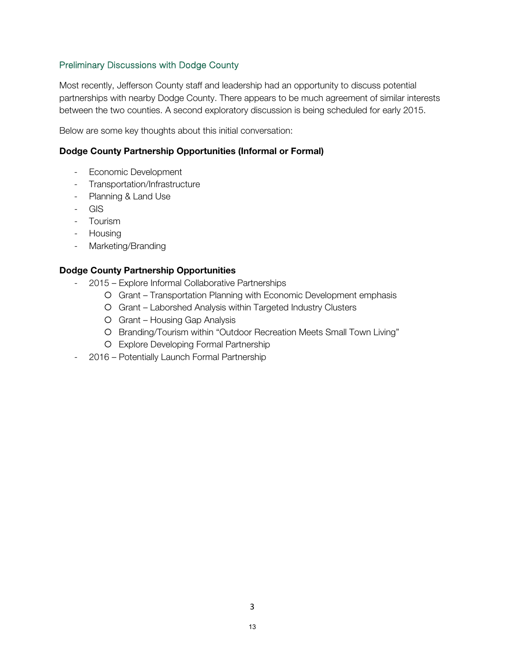## Preliminary Discussions with Dodge County

Most recently, Jefferson County staff and leadership had an opportunity to discuss potential partnerships with nearby Dodge County. There appears to be much agreement of similar interests between the two counties. A second exploratory discussion is being scheduled for early 2015.

Below are some key thoughts about this initial conversation:

## Dodge County Partnership Opportunities (Informal or Formal)

- Economic Development
- Transportation/Infrastructure
- Planning & Land Use
- GIS
- Tourism
- Housing
- Marketing/Branding

## Dodge County Partnership Opportunities

- 2015 Explore Informal Collaborative Partnerships
	- Grant Transportation Planning with Economic Development emphasis
	- Grant Laborshed Analysis within Targeted Industry Clusters
	- Grant Housing Gap Analysis
	- O Branding/Tourism within "Outdoor Recreation Meets Small Town Living"
	- Explore Developing Formal Partnership
- 2016 Potentially Launch Formal Partnership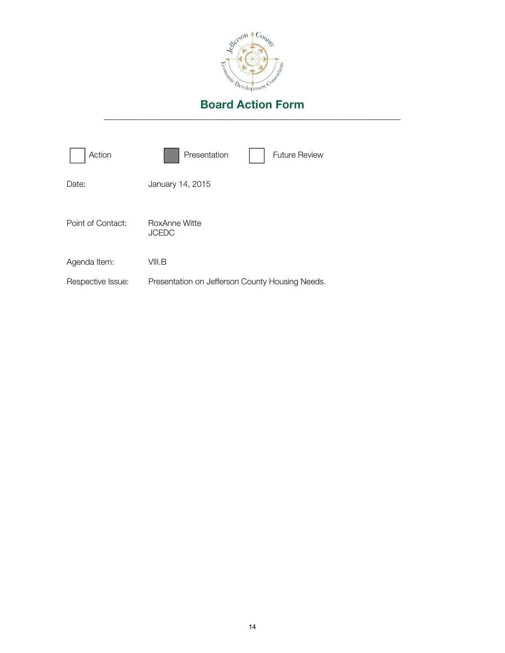

| Action            | Presentation                                    | <b>Future Review</b> |
|-------------------|-------------------------------------------------|----------------------|
| Date:             | January 14, 2015                                |                      |
| Point of Contact: | RoxAnne Witte<br><b>JCEDC</b>                   |                      |
| Agenda Item:      | VIII.B                                          |                      |
| Respective Issue: | Presentation on Jefferson County Housing Needs. |                      |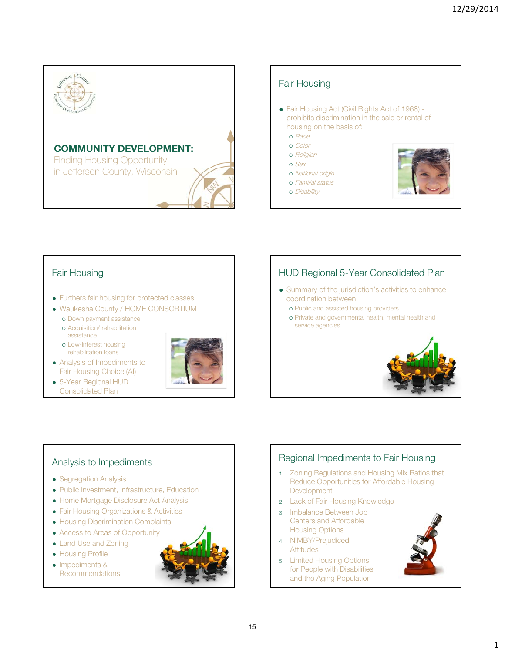



## Fair Housing

- Furthers fair housing for protected classes
- Waukesha County / HOME CONSORTIUM
	- o Down payment assistance Acquisition/ rehabilitation
	- assistance
	- Low-interest housing rehabilitation loans
- Analysis of Impediments to Fair Housing Choice (AI)
- 5-Year Regional HUD Consolidated Plan



## HUD Regional 5-Year Consolidated Plan

- Summary of the jurisdiction's activities to enhance coordination between:
	- Public and assisted housing providers
	- Private and governmental health, mental health and service agencies



## Analysis to Impediments

- Segregation Analysis
- Public Investment, Infrastructure, Education
- Home Mortgage Disclosure Act Analysis
- Fair Housing Organizations & Activities
- **Housing Discrimination Complaints**
- Access to Areas of Opportunity
- Land Use and Zoning
- **Housing Profile**
- Impediments & **Recommendations**



## Regional Impediments to Fair Housing

- 1. Zoning Regulations and Housing Mix Ratios that Reduce Opportunities for Affordable Housing **Development**
- 2. Lack of Fair Housing Knowledge
- 3. Imbalance Between Job Centers and Affordable Housing Options
- 4. NIMBY/Prejudiced **Attitudes**
- 5. Limited Housing Options for People with Disabilities and the Aging Population

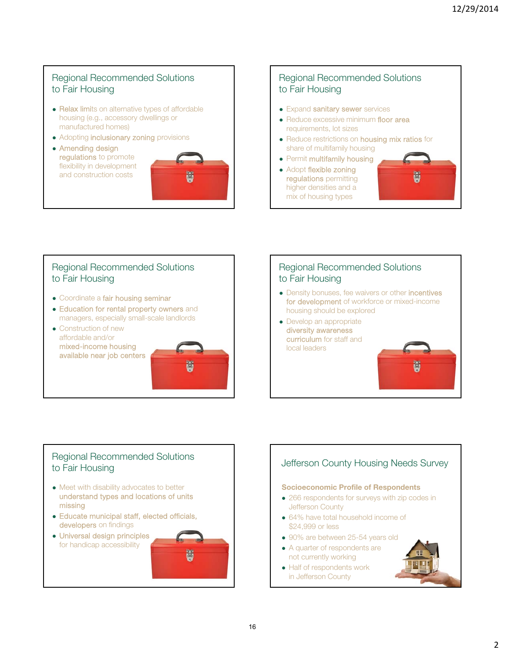## Regional Recommended Solutions to Fair Housing

- Relax limits on alternative types of affordable housing (e.g., accessory dwellings or manufactured homes)
- Adopting **inclusionary zoning** provisions
- Amending design regulations to promote flexibility in development and construction costs



## Regional Recommended Solutions to Fair Housing

- Expand sanitary sewer services
- Reduce excessive minimum floor area requirements, lot sizes
- Reduce restrictions on **housing mix ratios** for share of multifamily housing
- Permit multifamily housing
- Adopt flexible zoning regulations permitting higher densities and a mix of housing types



## Regional Recommended Solutions to Fair Housing

- Coordinate a fair housing seminar
- Education for rental property owners and managers, especially small-scale landlords
- Construction of new affordable and/or mixed-income housing available near job centers

## Regional Recommended Solutions to Fair Housing

- Density bonuses, fee waivers or other incentives for development of workforce or mixed-income housing should be explored
- Develop an appropriate diversity awareness curriculum for staff and local leaders

## Regional Recommended Solutions to Fair Housing

- Meet with disability advocates to better understand types and locations of units missing
- Educate municipal staff, elected officials, developers on findings
- Universal design principles for handicap accessibility



## Jefferson County Housing Needs Survey

## Socioeconomic Profile of Respondents

- 266 respondents for surveys with zip codes in Jefferson County
- 64% have total household income of \$24,999 or less
- 90% are between 25-54 years old
- A quarter of respondents are not currently working
- Half of respondents work in Jefferson County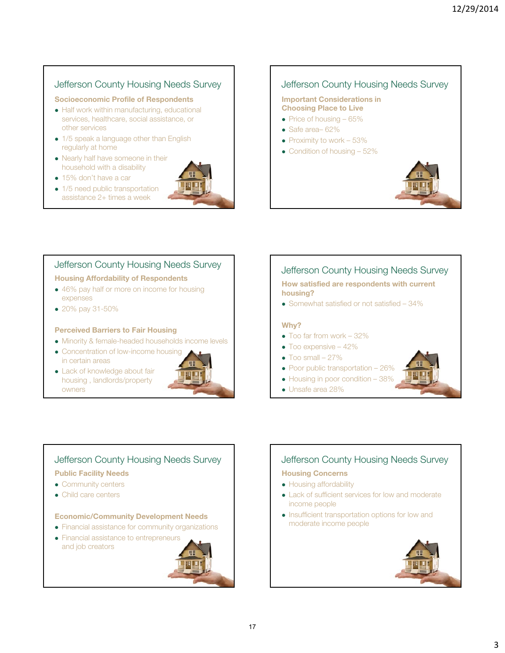## Jefferson County Housing Needs Survey

### Socioeconomic Profile of Respondents

- Half work within manufacturing, educational services, healthcare, social assistance, or other services
- 1/5 speak a language other than English regularly at home
- Nearly half have someone in their household with a disability
- 15% don't have a car
- 1/5 need public transportation assistance 2+ times a week



## Jefferson County Housing Needs Survey

#### Important Considerations in Choosing Place to Live

- $\bullet$  Price of housing  $-65\%$
- Safe area– 62%
- $\bullet$  Proximity to work 53%
- Condition of housing 52%



## Jefferson County Housing Needs Survey

### Housing Affordability of Respondents

- 46% pay half or more on income for housing expenses
- 20% pay 31-50%

### Perceived Barriers to Fair Housing

- Minority & female-headed households income levels
- Concentration of low-income housing in certain areas
- Lack of knowledge about fair housing , landlords/property owners



## Jefferson County Housing Needs Survey

### How satisfied are respondents with current housing?

• Somewhat satisfied or not satisfied – 34%

### Why?

- Too far from work 32%
- Too expensive 42%
- $\bullet$  Too small  $-27\%$
- Poor public transportation 26%
- Housing in poor condition 38%
- Unsafe area 28%

## Jefferson County Housing Needs Survey

### Public Facility Needs

- Community centers
- Child care centers

### Economic/Community Development Needs

- Financial assistance for community organizations
- Financial assistance to entrepreneurs and job creators



## Jefferson County Housing Needs Survey

### Housing Concerns

- Housing affordability
- Lack of sufficient services for low and moderate income people
- Insufficient transportation options for low and moderate income people



3